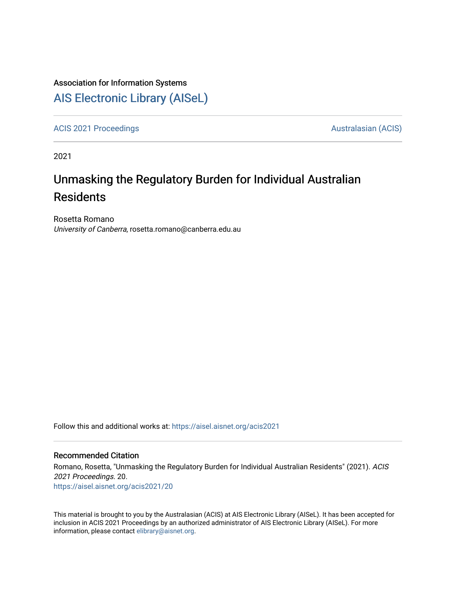#### Association for Information Systems

# [AIS Electronic Library \(AISeL\)](https://aisel.aisnet.org/)

[ACIS 2021 Proceedings](https://aisel.aisnet.org/acis2021) **AUSTRALIA CIS** Australasian (ACIS)

2021

# Unmasking the Regulatory Burden for Individual Australian Residents

Rosetta Romano University of Canberra, rosetta.romano@canberra.edu.au

Follow this and additional works at: [https://aisel.aisnet.org/acis2021](https://aisel.aisnet.org/acis2021?utm_source=aisel.aisnet.org%2Facis2021%2F20&utm_medium=PDF&utm_campaign=PDFCoverPages) 

#### Recommended Citation

Romano, Rosetta, "Unmasking the Regulatory Burden for Individual Australian Residents" (2021). ACIS 2021 Proceedings. 20. [https://aisel.aisnet.org/acis2021/20](https://aisel.aisnet.org/acis2021/20?utm_source=aisel.aisnet.org%2Facis2021%2F20&utm_medium=PDF&utm_campaign=PDFCoverPages)

This material is brought to you by the Australasian (ACIS) at AIS Electronic Library (AISeL). It has been accepted for inclusion in ACIS 2021 Proceedings by an authorized administrator of AIS Electronic Library (AISeL). For more information, please contact [elibrary@aisnet.org.](mailto:elibrary@aisnet.org%3E)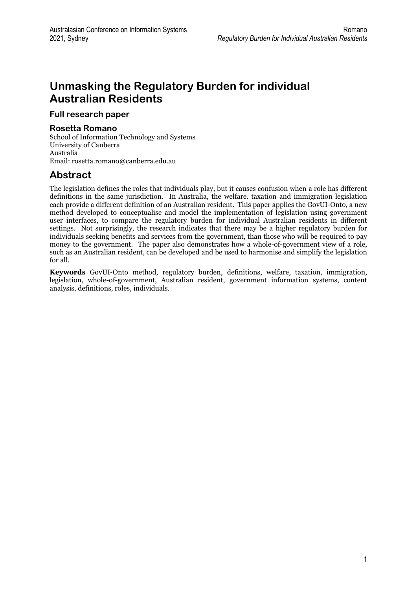# **Unmasking the Regulatory Burden for individual Australian Residents**

**Full research paper** 

#### **Rosetta Romano**

School of Information Technology and Systems University of Canberra Australia Email: rosetta.romano@canberra.edu.au

## **Abstract**

The legislation defines the roles that individuals play, but it causes confusion when a role has different definitions in the same jurisdiction. In Australia, the welfare. taxation and immigration legislation each provide a different definition of an Australian resident. This paper applies the GovUI-Onto, a new method developed to conceptualise and model the implementation of legislation using government user interfaces, to compare the regulatory burden for individual Australian residents in different settings. Not surprisingly, the research indicates that there may be a higher regulatory burden for individuals seeking benefits and services from the government, than those who will be required to pay money to the government. The paper also demonstrates how a whole-of-government view of a role, such as an Australian resident, can be developed and be used to harmonise and simplify the legislation for all.

**Keywords** GovUI-Onto method, regulatory burden, definitions, welfare, taxation, immigration, legislation, whole-of-government, Australian resident, government information systems, content analysis, definitions, roles, individuals.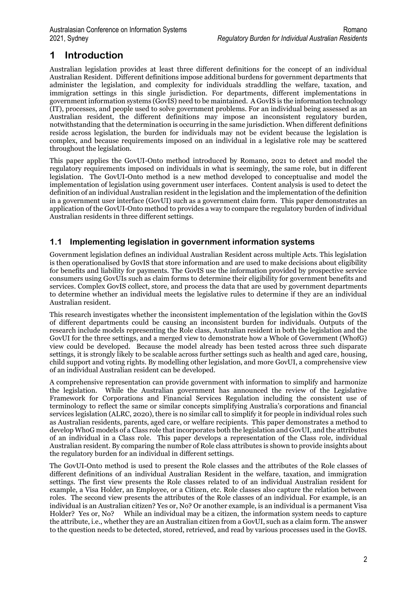# **1 Introduction**

Australian legislation provides at least three different definitions for the concept of an individual Australian Resident. Different definitions impose additional burdens for government departments that administer the legislation, and complexity for individuals straddling the welfare, taxation, and immigration settings in this single jurisdiction. For departments, different implementations in government information systems (GovIS) need to be maintained. A GovIS is the information technology (IT), processes, and people used to solve government problems. For an individual being assessed as an Australian resident, the different definitions may impose an inconsistent regulatory burden, notwithstanding that the determination is occurring in the same jurisdiction. When different definitions reside across legislation, the burden for individuals may not be evident because the legislation is complex, and because requirements imposed on an individual in a legislative role may be scattered throughout the legislation.

This paper applies the GovUI-Onto method introduced by Romano, 2021 to detect and model the regulatory requirements imposed on individuals in what is seemingly, the same role, but in different legislation. The GovUI-Onto method is a new method developed to conceptualise and model the implementation of legislation using government user interfaces. Content analysis is used to detect the definition of an individual Australian resident in the legislation and the implementation of the definition in a government user interface (GovUI) such as a government claim form. This paper demonstrates an application of the GovUI-Onto method to provides a way to compare the regulatory burden of individual Australian residents in three different settings.

#### **1.1 Implementing legislation in government information systems**

Government legislation defines an individual Australian Resident across multiple Acts. This legislation is then operationalised by GovIS that store information and are used to make decisions about eligibility for benefits and liability for payments. The GovIS use the information provided by prospective service consumers using GovUIs such as claim forms to determine their eligibility for government benefits and services. Complex GovIS collect, store, and process the data that are used by government departments to determine whether an individual meets the legislative rules to determine if they are an individual Australian resident.

This research investigates whether the inconsistent implementation of the legislation within the GovIS of different departments could be causing an inconsistent burden for individuals. Outputs of the research include models representing the Role class, Australian resident in both the legislation and the GovUI for the three settings, and a merged view to demonstrate how a Whole of Government (WhofG) view could be developed. Because the model already has been tested across three such disparate settings, it is strongly likely to be scalable across further settings such as health and aged care, housing, child support and voting rights. By modelling other legislation, and more GovUI, a comprehensive view of an individual Australian resident can be developed.

A comprehensive representation can provide government with information to simplify and harmonize the legislation. While the Australian government has announced the review of the Legislative Framework for Corporations and Financial Services Regulation including the consistent use of terminology to reflect the same or similar concepts simplifying Australia's corporations and financial services legislation (ALRC, 2020), there is no similar call to simplify it for people in individual roles such as Australian residents, parents, aged care, or welfare recipients. This paper demonstrates a method to develop WhoG models of a Class role that incorporates both the legislation and GovUI, and the attributes of an individual in a Class role. This paper develops a representation of the Class role, individual Australian resident. By comparing the number of Role class attributes is shown to provide insights about the regulatory burden for an individual in different settings.

The GovUI-Onto method is used to present the Role classes and the attributes of the Role classes of different definitions of an individual Australian Resident in the welfare, taxation, and immigration settings. The first view presents the Role classes related to of an individual Australian resident for example, a Visa Holder, an Employee, or a Citizen, etc. Role classes also capture the relation between roles. The second view presents the attributes of the Role classes of an individual. For example, is an individual is an Australian citizen? Yes or, No? Or another example, is an individual is a permanent Visa Holder? Yes or, No? While an individual may be a citizen, the information system needs to capture the attribute, i.e., whether they are an Australian citizen from a GovUI, such as a claim form. The answer to the question needs to be detected, stored, retrieved, and read by various processes used in the GovIS.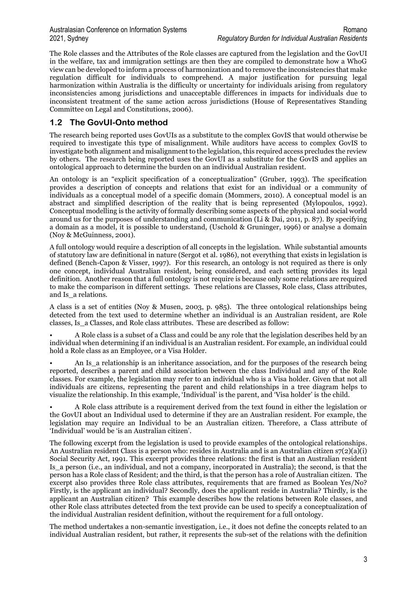The Role classes and the Attributes of the Role classes are captured from the legislation and the GovUI in the welfare, tax and immigration settings are then they are compiled to demonstrate how a WhoG view can be developed to inform a process of harmonization and to remove the inconsistencies that make regulation difficult for individuals to comprehend. A major justification for pursuing legal harmonization within Australia is the difficulty or uncertainty for individuals arising from regulatory inconsistencies among jurisdictions and unacceptable differences in impacts for individuals due to inconsistent treatment of the same action across jurisdictions (House of Representatives Standing Committee on Legal and Constitutions, 2006).

#### **1.2 The GovUI-Onto method**

The research being reported uses GovUIs as a substitute to the complex GovIS that would otherwise be required to investigate this type of misalignment. While auditors have access to complex GovIS to investigate both alignment and misalignment to the legislation, this required access precludes the review by others. The research being reported uses the GovUI as a substitute for the GovIS and applies an ontological approach to determine the burden on an individual Australian resident.

An ontology is an "explicit specification of a conceptualization" (Gruber, 1993). The specification provides a description of concepts and relations that exist for an individual or a community of individuals as a conceptual model of a specific domain (Mommers, 2010). A conceptual model is an abstract and simplified description of the reality that is being represented (Mylopoulos, 1992). Conceptual modelling is the activity of formally describing some aspects of the physical and social world around us for the purposes of understanding and communication (Li & Dai, 2011, p. 87). By specifying a domain as a model, it is possible to understand, (Uschold & Gruninger, 1996) or analyse a domain (Noy & McGuinness, 2001).

A full ontology would require a description of all concepts in the legislation. While substantial amounts of statutory law are definitional in nature (Sergot et al. 1986), not everything that exists in legislation is defined (Bench-Capon & Visser, 1997). For this research, an ontology is not required as there is only one concept, individual Australian resident, being considered, and each setting provides its legal definition. Another reason that a full ontology is not require is because only some relations are required to make the comparison in different settings. These relations are Classes, Role class, Class attributes, and Is\_a relations.

A class is a set of entities (Noy & Musen, 2003, p. 985). The three ontological relationships being detected from the text used to determine whether an individual is an Australian resident, are Role classes, Is\_a Classes, and Role class attributes. These are described as follow:

• A Role class is a subset of a Class and could be any role that the legislation describes held by an individual when determining if an individual is an Australian resident. For example, an individual could hold a Role class as an Employee, or a Visa Holder.

An Is a relationship is an inheritance association, and for the purposes of the research being reported, describes a parent and child association between the class Individual and any of the Role classes. For example, the legislation may refer to an individual who is a Visa holder. Given that not all individuals are citizens, representing the parent and child relationships in a tree diagram helps to visualize the relationship. In this example, 'Individual' is the parent, and 'Visa holder' is the child.

• A Role class attribute is a requirement derived from the text found in either the legislation or the GovUI about an Individual used to determine if they are an Australian resident. For example, the legislation may require an Individual to be an Australian citizen. Therefore, a Class attribute of 'Individual' would be 'is an Australian citizen'.

The following excerpt from the legislation is used to provide examples of the ontological relationships. An Australian resident Class is a person who: resides in Australia and is an Australian citizen  $s7(2)(a)(i)$ Social Security Act, 1991. This excerpt provides three relations: the first is that an Australian resident Is\_a person (i.e., an individual, and not a company, incorporated in Australia); the second, is that the person has a Role class of Resident; and the third, is that the person has a role of Australian citizen. The excerpt also provides three Role class attributes, requirements that are framed as Boolean Yes/No? Firstly, is the applicant an individual? Secondly, does the applicant reside in Australia? Thirdly, is the applicant an Australian citizen? This example describes how the relations between Role classes, and other Role class attributes detected from the text provide can be used to specify a conceptualization of the individual Australian resident definition, without the requirement for a full ontology.

The method undertakes a non-semantic investigation, i.e., it does not define the concepts related to an individual Australian resident, but rather, it represents the sub-set of the relations with the definition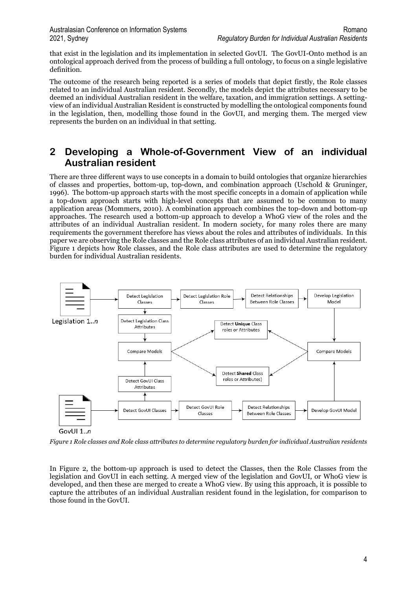that exist in the legislation and its implementation in selected GovUI. The GovUI-Onto method is an ontological approach derived from the process of building a full ontology, to focus on a single legislative definition.

The outcome of the research being reported is a series of models that depict firstly, the Role classes related to an individual Australian resident. Secondly, the models depict the attributes necessary to be deemed an individual Australian resident in the welfare, taxation, and immigration settings. A settingview of an individual Australian Resident is constructed by modelling the ontological components found in the legislation, then, modelling those found in the GovUI, and merging them. The merged view represents the burden on an individual in that setting.

### **2 Developing a Whole-of-Government View of an individual Australian resident**

There are three different ways to use concepts in a domain to build ontologies that organize hierarchies of classes and properties, bottom-up, top-down, and combination approach (Uschold & Gruninger, 1996). The bottom-up approach starts with the most specific concepts in a domain of application while a top-down approach starts with high-level concepts that are assumed to be common to many application areas (Mommers, 2010). A combination approach combines the top-down and bottom-up approaches. The research used a bottom-up approach to develop a WhoG view of the roles and the attributes of an individual Australian resident. In modern society, for many roles there are many requirements the government therefore has views about the roles and attributes of individuals. In this paper we are observing the Role classes and the Role class attributes of an individual Australian resident. Figure 1 depicts how Role classes, and the Role class attributes are used to determine the regulatory burden for individual Australian residents.



*Figure 1 Role classes and Role class attributes to determine regulatory burden for individual Australian residents* 

In Figure 2, the bottom-up approach is used to detect the Classes, then the Role Classes from the legislation and GovUI in each setting. A merged view of the legislation and GovUI, or WhoG view is developed, and then these are merged to create a WhoG view. By using this approach, it is possible to capture the attributes of an individual Australian resident found in the legislation, for comparison to those found in the GovUI.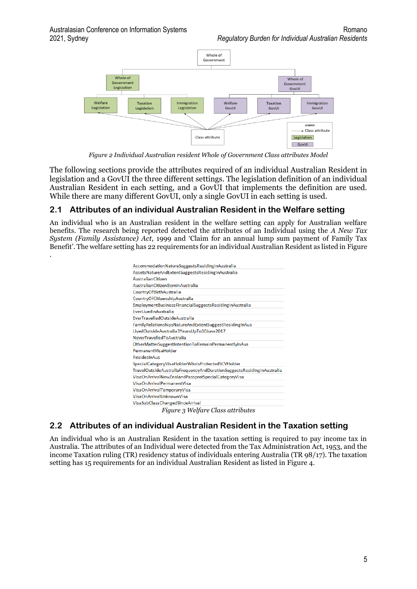

*Figure 2 Individual Australian resident Whole of Government Class attributes Model*

The following sections provide the attributes required of an individual Australian Resident in legislation and a GovUI the three different settings. The legislation definition of an individual Australian Resident in each setting, and a GovUI that implements the definition are used. While there are many different GovUI, only a single GovUI in each setting is used.

#### **2.1 Attributes of an individual Australian Resident in the Welfare setting**

An individual who is an Australian resident in the welfare setting can apply for Australian welfare benefits. The research being reported detected the attributes of an Individual using the *A New Tax System (Family Assistance) Act*, 1999 and 'Claim for an annual lump sum payment of Family Tax Benefit'. The welfare setting has 22 requirements for an individual Australian Resident as listed in Figure .

| AccommodationNatureSuggestsResidingInAustralia                                         |
|----------------------------------------------------------------------------------------|
| AssetsNatureAndExtentSuggestsResidingInAustralia                                       |
| <b>AustralianCitizen</b>                                                               |
| AustralianCitizenBornInAustralia                                                       |
| CountryOfBirthAustralia                                                                |
| CountryOfCitizenshipAustralia                                                          |
| EmploymentBusinessFinancialSuggestsResidingInAustralia                                 |
| EverLivedInAustralia                                                                   |
| EverTravelledOutsideAustralia                                                          |
| FamilyRelationshipsNatureAndExtentSuggestResidingInAus                                 |
| LivedOutsideAustralia3YearsUpTo30June2017                                              |
| <b>NeverTravelledToAustralia</b>                                                       |
| OtherMatterSuggestIntentionToRemainPermanentlyInAus                                    |
| PermanentVisaHolder                                                                    |
| ResidesInAus                                                                           |
| SpecialCategoryVisaHolderWhoIsProtectedSCVHolder                                       |
| TravelOutsideAustraliaFrequencyAndDurationSuggestsResidingInAustralia                  |
| VisaOnArrivalNewZealandPassprotSpecialCategoryVisa                                     |
| <b>VisaOnArrivalPermanentVisa</b>                                                      |
| VisaOnArrivalTemporaryVisa                                                             |
| VisaOnArrivalUnknownVisa                                                               |
| VisaSubClassChangedSinceArrival                                                        |
| <br>$\overline{\phantom{a}}$<br>$T_{\text{A}}$ $T_{\text{A}}$ $T_{\text{B}}$<br>$\sim$ |

*Figure 3 Welfare Class attributes*

### **2.2 Attributes of an individual Australian Resident in the Taxation setting**

An individual who is an Australian Resident in the taxation setting is required to pay income tax in Australia. The attributes of an Individual were detected from the Tax Administration Act, 1953, and the income Taxation ruling (TR) residency status of individuals entering Australia (TR 98/17). The taxation setting has 15 requirements for an individual Australian Resident as listed in Figure 4.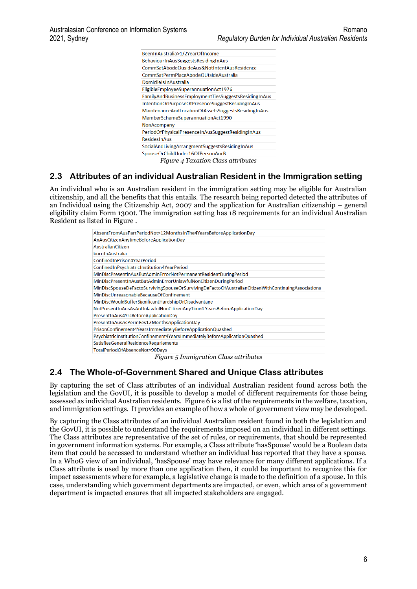| BeenInAustralia>1/2YearOfIncome                             |
|-------------------------------------------------------------|
| BehaviourInAusSuggestsResidingInAus                         |
| CommSatAbodeOusideAus&NotIntentAusResidence                 |
| CommSatPermPlaceAbodeOUtsideAustralia                       |
| <b>Domicile Isln Australia</b>                              |
| EligibleEmployeeSuperannuationAct1976                       |
| FamilyAndBusinessEmploymentTiesSuggestsResidingInAus        |
| IntentionOrPurposeOfPresenceSuggestResidingInAus            |
| Maintenance And Location Of Assets Suggests Residing In Aus |
| MemberSchemeSuperannuationAct1990                           |
| <b>NonAcompany</b>                                          |
| PeriodOfPhysicalPresenceInAusSuggestResidingInAus           |
| <b>ResidesInAus</b>                                         |
| SocialAndLivingArrangmentSuggestsResidingInAus              |
| SpouseOrChildUnder16OfPersonAorB                            |
| <i>Figure 4 Taxation Class attributes</i>                   |

#### **2.3 Attributes of an individual Australian Resident in the Immigration setting**

An individual who is an Australian resident in the immigration setting may be eligible for Australian citizenship, and all the benefits that this entails. The research being reported detected the attributes of an Individual using the Citizenship Act, 2007 and the application for Australian citizenship – general eligibility claim Form 1300t. The immigration setting has 18 requirements for an individual Australian Resident as listed in Figure .

| AbsentFromAusPartPeriodNot>12MonthsInThe4YearsBeforeApplicationDay                                 |  |  |
|----------------------------------------------------------------------------------------------------|--|--|
| AnAusCitizenAnytimeBeforeApplicationDay                                                            |  |  |
| AustralianCitizen                                                                                  |  |  |
| bornInAustralia                                                                                    |  |  |
| Confined InPrison4 Year Period                                                                     |  |  |
| ConfinedInPsychiatricInstitution4YearPeriod                                                        |  |  |
| MinDiscPresentinAusButAdminErrorNotPermanentResidentDuringPeriod                                   |  |  |
| MinDiscPresentInAustButAdminErrorUnlawfulNonCitizenDuringPeriod                                    |  |  |
| MinDiscSpouseDeFactoSurvivingSpouseOrSurvivingDeFactoOfAustralianCitizenWithContinuingAssociations |  |  |
|                                                                                                    |  |  |
| MinDiscUnreasonableBecauseOfConfinement                                                            |  |  |
| MinDiscWouldSufferSignificantHardshipOrDisadvantage                                                |  |  |
| NotPresentInAusAsAnUnlawfulNonCitizenAnyTime4 YearsBeforeApplicationDay                            |  |  |
| PresentInAus4YrsBeforeApplicationDay                                                               |  |  |
| PresentInAusAsPermRes12MonthsApplicationDay                                                        |  |  |
| PrisonConfinement4YearsImmediatelyBeforeApplicationQuashed                                         |  |  |
| PsychiatricInstitutionConfinement4YearsImmediatelyBeforeApplicationQuashed                         |  |  |
| SatisfiesGeneralResidenceRequriements                                                              |  |  |
| TotalPeriodOfAbsenceNot>90Davs                                                                     |  |  |

*Figure 5 Immigration Class attributes*

#### **2.4 The Whole-of-Government Shared and Unique Class attributes**

By capturing the set of Class attributes of an individual Australian resident found across both the legislation and the GovUI, it is possible to develop a model of different requirements for those being assessed as individual Australian residents. Figure 6 is a list of the requirements in the welfare, taxation, and immigration settings. It provides an example of how a whole of government view may be developed.

By capturing the Class attributes of an individual Australian resident found in both the legislation and the GovUI, it is possible to understand the requirements imposed on an individual in different settings. The Class attributes are representative of the set of rules, or requirements, that should be represented in government information systems. For example, a Class attribute 'hasSpouse' would be a Boolean data item that could be accessed to understand whether an individual has reported that they have a spouse. In a WhoG view of an individual, 'hasSpouse' may have relevance for many different applications. If a Class attribute is used by more than one application then, it could be important to recognize this for impact assessments where for example, a legislative change is made to the definition of a spouse. In this case, understanding which government departments are impacted, or even, which area of a government department is impacted ensures that all impacted stakeholders are engaged.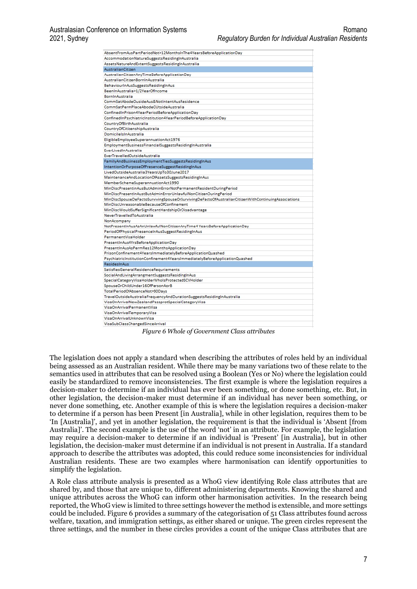| AbsentFromAusPartPeriodNot>12MonthsInThe4YearsBeforeApplicationDay                                 |
|----------------------------------------------------------------------------------------------------|
| AccommodationNatureSuggestsResidingInAustralia                                                     |
| AssetsNatureAndExtentSuggestsResidingInAustralia                                                   |
| AustralianCitizen                                                                                  |
| AustralianCitizenAnyTimeBeforeApplicationDay                                                       |
| AustralianCitizenBornInAustralia                                                                   |
| BehaviourInAusSuggestsResidingInAus                                                                |
| BeenInAustralia>1/2YearOfIncome                                                                    |
| <b>BorninAustralia</b>                                                                             |
| CommSatAbodeOusideAus&NotIntentAusResidence                                                        |
| CommSatPermPlaceAbodeOUtsideAustralia                                                              |
| ConfinedInPrison4YearPeriodBeforeApplicationDay                                                    |
| ConfinedInPsychiatricInstitution4YearPeriodBeforeApplicationDay                                    |
| CountryOfBirthAustralia                                                                            |
| CountryOfCitizenshipAustralia                                                                      |
| DomicileIsInAustralia                                                                              |
| EligibleEmployeeSuperannuationAct1976                                                              |
| EmploymentBusinessFinancialSuggestsResidingInAustralia                                             |
| EverLivedInAustralia                                                                               |
| EverTravelledOutsideAustralia                                                                      |
| FamilyAndBusinessEmploymentTiesSuggestsResidingInAus                                               |
| IntentionOrPurposeOfPresenceSuggestResidingInAus                                                   |
| LivedOutsideAustralia3YearsUpTo30June2017                                                          |
| MaintenanceAndLocationOfAssetsSuggestsResidingInAus                                                |
| MemberSchemeSuperannuationAct1990                                                                  |
| MinDiscPresentinAusButAdminErrorNotPermanentResidentDuringPeriod                                   |
| MinDiscPresentInAustButAdminErrorUnlawfulNonCitizenDuringPeriod                                    |
| MinDiscSpouseDeFactoSurvivingSpouseOrSurvivingDeFactoOfAustralianCitizenWithContinuingAssociations |
| MinDiscUnreasonableBecauseOfConfinement                                                            |
| MinDiscWouldSufferSignificantHardshipOrDisadvantage                                                |
| NeverTravelledToAustralia                                                                          |
| NonAcompany                                                                                        |
| NotPresentInAusAsAnUnlawfulNonCitizenAnyTime4 YearsBeforeApplicationDay                            |
| PeriodOfPhysicalPresenceInAusSuggestResidingInAus                                                  |
| PermanentVisaHolder                                                                                |
| PresentInAus4YrsBeforeApplicationDay                                                               |
| PresentInAusAsPermRes12MonthsApplicationDay                                                        |
| PrisonConfinement4YearsImmediatelyBeforeApplicationQuashed                                         |
| PsychiatricInstitutionConfinement4YearsImmediatelyBeforeApplicationQuashed                         |
| ResidesInAus                                                                                       |
|                                                                                                    |
|                                                                                                    |
| SatisfiesGeneralResidenceRequriements<br>SocialAndLivingArrangmentSuggestsResidingInAus            |
| SpecialCategoryVisaHolderWholsProtectedSCVHolder                                                   |
| SpouseOrChildUnder16OfPersonAorB                                                                   |
| TotalPeriodOfAbsenceNot>90Davs                                                                     |
| TravelOutsideAustraliaFrequencyAndDurationSuggestsResidingInAustralia                              |
| VisaOnArrivalNewZealandPassprotSpecialCategoryVisa                                                 |
| VisaOnArrivalPermanentVisa                                                                         |
| VisaOnArrivalTemporaryVisa                                                                         |
| VisaOnArrivalUnknownVisa                                                                           |

*Figure 6 Whole of Government Class attributes*

The legislation does not apply a standard when describing the attributes of roles held by an individual being assessed as an Australian resident. While there may be many variations two of these relate to the semantics used in attributes that can be resolved using a Boolean (Yes or No) where the legislation could easily be standardized to remove inconsistencies. The first example is where the legislation requires a decision-maker to determine if an individual has ever been something, or done something, etc. But, in other legislation, the decision-maker must determine if an individual has never been something, or never done something, etc. Another example of this is where the legislation requires a decision-maker to determine if a person has been Present [in Australia], while in other legislation, requires them to be 'In [Australia]', and yet in another legislation, the requirement is that the individual is 'Absent [from Australia]'. The second example is the use of the word 'not' in an attribute. For example, the legislation may require a decision-maker to determine if an individual is 'Present' [in Australia], but in other legislation, the decision-maker must determine if an individual is not present in Australia. If a standard approach to describe the attributes was adopted, this could reduce some inconsistencies for individual Australian residents. These are two examples where harmonisation can identify opportunities to simplify the legislation.

A Role class attribute analysis is presented as a WhoG view identifying Role class attributes that are shared by, and those that are unique to, different administering departments. Knowing the shared and unique attributes across the WhoG can inform other harmonisation activities. In the research being reported, the WhoG view is limited to three settings however the method is extensible, and more settings could be included. Figure 6 provides a summary of the categorisation of 51 Class attributes found across welfare, taxation, and immigration settings, as either shared or unique. The green circles represent the three settings, and the number in these circles provides a count of the unique Class attributes that are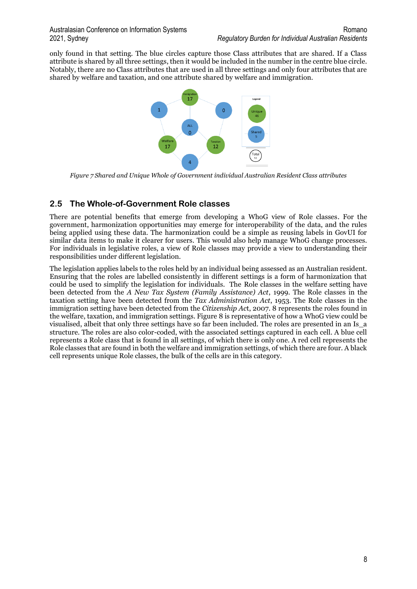only found in that setting. The blue circles capture those Class attributes that are shared. If a Class attribute is shared by all three settings, then it would be included in the number in the centre blue circle. Notably, there are no Class attributes that are used in all three settings and only four attributes that are shared by welfare and taxation, and one attribute shared by welfare and immigration.



*Figure 7 Shared and Unique Whole of Government individual Australian Resident Class attributes*

#### **2.5 The Whole-of-Government Role classes**

There are potential benefits that emerge from developing a WhoG view of Role classes. For the government, harmonization opportunities may emerge for interoperability of the data, and the rules being applied using these data. The harmonization could be a simple as reusing labels in GovUI for similar data items to make it clearer for users. This would also help manage WhoG change processes. For individuals in legislative roles, a view of Role classes may provide a view to understanding their responsibilities under different legislation.

The legislation applies labels to the roles held by an individual being assessed as an Australian resident. Ensuring that the roles are labelled consistently in different settings is a form of harmonization that could be used to simplify the legislation for individuals. The Role classes in the welfare setting have been detected from the *A New Tax System (Family Assistance) Act*, 1999. The Role classes in the taxation setting have been detected from the *Tax Administration Act*, 1953. The Role classes in the immigration setting have been detected from the *Citizenship Ac*t, 2007. 8 represents the roles found in the welfare, taxation, and immigration settings. Figure 8 is representative of how a WhoG view could be visualised, albeit that only three settings have so far been included. The roles are presented in an Is\_a structure. The roles are also color-coded, with the associated settings captured in each cell. A blue cell represents a Role class that is found in all settings, of which there is only one. A red cell represents the Role classes that are found in both the welfare and immigration settings, of which there are four. A black cell represents unique Role classes, the bulk of the cells are in this category.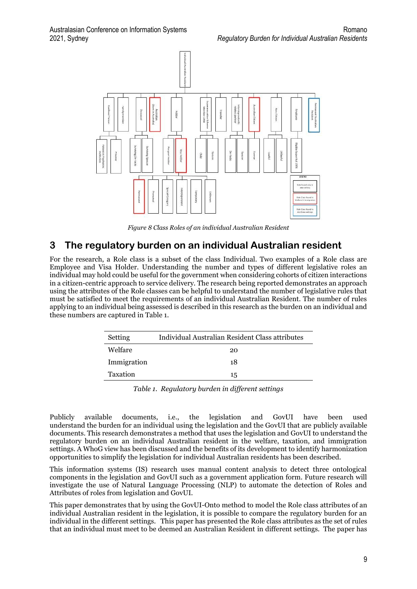

*Figure 8 Class Roles of an individual Australian Resident*

### **3 The regulatory burden on an individual Australian resident**

For the research, a Role class is a subset of the class Individual. Two examples of a Role class are Employee and Visa Holder. Understanding the number and types of different legislative roles an individual may hold could be useful for the government when considering cohorts of citizen interactions in a citizen-centric approach to service delivery. The research being reported demonstrates an approach using the attributes of the Role classes can be helpful to understand the number of legislative rules that must be satisfied to meet the requirements of an individual Australian Resident. The number of rules applying to an individual being assessed is described in this research as the burden on an individual and these numbers are captured in Table 1.

| Setting     | Individual Australian Resident Class attributes |
|-------------|-------------------------------------------------|
| Welfare     | 20                                              |
| Immigration | 18                                              |
| Taxation    | 15                                              |
|             |                                                 |

*Table 1. Regulatory burden in different settings*

Publicly available documents, i.e., the legislation and GovUI have been used understand the burden for an individual using the legislation and the GovUI that are publicly available documents. This research demonstrates a method that uses the legislation and GovUI to understand the regulatory burden on an individual Australian resident in the welfare, taxation, and immigration settings. A WhoG view has been discussed and the benefits of its development to identify harmonization opportunities to simplify the legislation for individual Australian residents has been described.

This information systems (IS) research uses manual content analysis to detect three ontological components in the legislation and GovUI such as a government application form. Future research will investigate the use of Natural Language Processing (NLP) to automate the detection of Roles and Attributes of roles from legislation and GovUI.

This paper demonstrates that by using the GovUI-Onto method to model the Role class attributes of an individual Australian resident in the legislation, it is possible to compare the regulatory burden for an individual in the different settings. This paper has presented the Role class attributes as the set of rules that an individual must meet to be deemed an Australian Resident in different settings. The paper has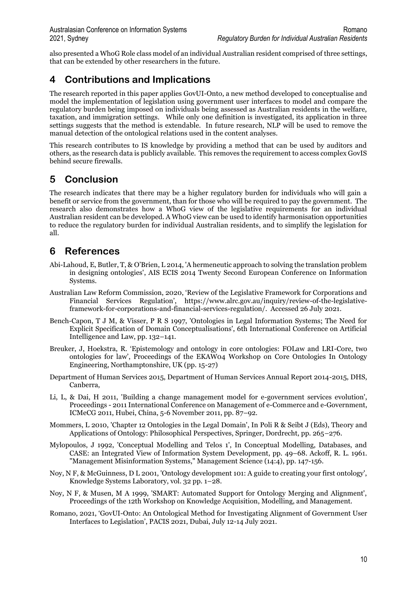also presented a WhoG Role class model of an individual Australian resident comprised of three settings, that can be extended by other researchers in the future.

# **4 Contributions and Implications**

The research reported in this paper applies GovUI-Onto, a new method developed to conceptualise and model the implementation of legislation using government user interfaces to model and compare the regulatory burden being imposed on individuals being assessed as Australian residents in the welfare, taxation, and immigration settings. While only one definition is investigated, its application in three settings suggests that the method is extendable. In future research, NLP will be used to remove the manual detection of the ontological relations used in the content analyses.

This research contributes to IS knowledge by providing a method that can be used by auditors and others, as the research data is publicly available. This removes the requirement to access complex GovIS behind secure firewalls.

## **5 Conclusion**

The research indicates that there may be a higher regulatory burden for individuals who will gain a benefit or service from the government, than for those who will be required to pay the government. The research also demonstrates how a WhoG view of the legislative requirements for an individual Australian resident can be developed. A WhoG view can be used to identify harmonisation opportunities to reduce the regulatory burden for individual Australian residents, and to simplify the legislation for all.

## **6 References**

- Abi-Lahoud, E, Butler, T, & O'Brien, L 2014, 'A hermeneutic approach to solving the translation problem in designing ontologies', AIS ECIS 2014 Twenty Second European Conference on Information Systems.
- Australian Law Reform Commission, 2020, 'Review of the Legislative Framework for Corporations and Financial Services Regulation', https://www.alrc.gov.au/inquiry/review-of-the-legislativeframework-for-corporations-and-financial-services-regulation/. Accessed 26 July 2021.
- Bench-Capon, T J M, & Visser, P R S 1997, 'Ontologies in Legal Information Systems; The Need for Explicit Specification of Domain Conceptualisations', 6th International Conference on Artificial Intelligence and Law, pp. 132–141.
- Breuker, J, Hoekstra, R. 'Epistemology and ontology in core ontologies: FOLaw and LRI-Core, two ontologies for law', Proceedings of the EKAW04 Workshop on Core Ontologies In Ontology Engineering, Northamptonshire, UK (pp. 15-27)
- Department of Human Services 2015, Department of Human Services Annual Report 2014-2015, DHS, Canberra,
- Li, L, & Dai, H 2011, 'Building a change management model for e-government services evolution', Proceedings - 2011 International Conference on Management of e-Commerce and e-Government, ICMeCG 2011, Hubei, China, 5-6 November 2011, pp. 87–92.
- Mommers, L 2010, 'Chapter 12 Ontologies in the Legal Domain', In Poli R & Seibt J (Eds), Theory and Applications of Ontology: Philosophical Perspectives, Springer, Dordrecht, pp. 265–276.
- Mylopoulos, J 1992, 'Conceptual Modelling and Telos 1', In Conceptual Modelling, Databases, and CASE: an Integrated View of Information System Development, pp. 49–68. Ackoff, R. L. 1961. "Management Misinformation Systems," Management Science (14:4), pp. 147-156.
- Noy, N F, & McGuinness, D L 2001, 'Ontology development 101: A guide to creating your first ontology', Knowledge Systems Laboratory, vol. 32 pp. 1–28.
- Noy, N F, & Musen, M A 1999, 'SMART: Automated Support for Ontology Merging and Alignment', Proceedings of the 12th Workshop on Knowledge Acquisition, Modelling, and Management.
- Romano, 2021, 'GovUI-Onto: An Ontological Method for Investigating Alignment of Government User Interfaces to Legislation', PACIS 2021, Dubai, July 12-14 July 2021.